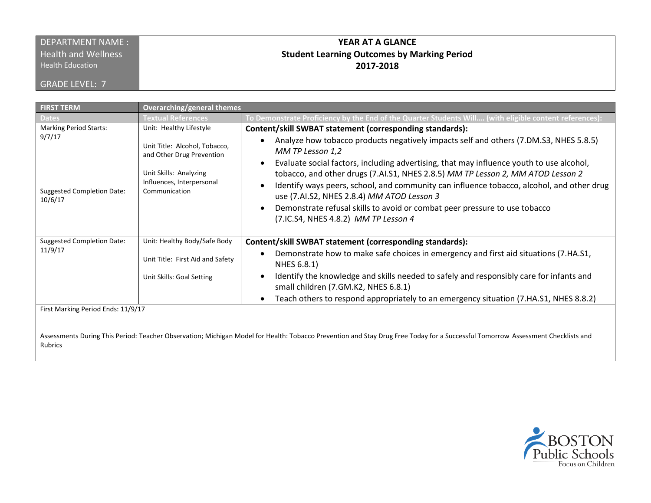#### DEPARTMENT NAME : **Health and Wellness**

Health Education

GRADE LEVEL: 7

### **YEAR AT A GLANCE Student Learning Outcomes by Marking Period 2017-2018**

| <b>FIRST TERM</b>                                                                       | <b>Overarching/general themes</b>                                                                                                                             |                                                                                                                                                                                                                                                                                                                                                                                                                                                                                                                                                                                                                                    |
|-----------------------------------------------------------------------------------------|---------------------------------------------------------------------------------------------------------------------------------------------------------------|------------------------------------------------------------------------------------------------------------------------------------------------------------------------------------------------------------------------------------------------------------------------------------------------------------------------------------------------------------------------------------------------------------------------------------------------------------------------------------------------------------------------------------------------------------------------------------------------------------------------------------|
| ates                                                                                    | <b>Fextual References</b>                                                                                                                                     | To Demonstrate Proficiency by the End of the Quarter Students Will (with eligible content references)                                                                                                                                                                                                                                                                                                                                                                                                                                                                                                                              |
| <b>Marking Period Starts:</b><br>9/7/17<br><b>Suggested Completion Date:</b><br>10/6/17 | Unit: Healthy Lifestyle<br>Unit Title: Alcohol, Tobacco,<br>and Other Drug Prevention<br>Unit Skills: Analyzing<br>Influences, Interpersonal<br>Communication | Content/skill SWBAT statement (corresponding standards):<br>Analyze how tobacco products negatively impacts self and others (7.DM.S3, NHES 5.8.5)<br>MM TP Lesson 1,2<br>Evaluate social factors, including advertising, that may influence youth to use alcohol,<br>tobacco, and other drugs (7.AI.S1, NHES 2.8.5) MM TP Lesson 2, MM ATOD Lesson 2<br>Identify ways peers, school, and community can influence tobacco, alcohol, and other drug<br>use (7.AI.S2, NHES 2.8.4) MM ATOD Lesson 3<br>Demonstrate refusal skills to avoid or combat peer pressure to use tobacco<br>$\bullet$<br>(7.IC.S4, NHES 4.8.2) MM TP Lesson 4 |
| <b>Suggested Completion Date:</b><br>11/9/17                                            | Unit: Healthy Body/Safe Body                                                                                                                                  | Content/skill SWBAT statement (corresponding standards):                                                                                                                                                                                                                                                                                                                                                                                                                                                                                                                                                                           |
|                                                                                         | Unit Title: First Aid and Safety                                                                                                                              | Demonstrate how to make safe choices in emergency and first aid situations (7.HA.S1,<br>$\bullet$<br>NHES 6.8.1)                                                                                                                                                                                                                                                                                                                                                                                                                                                                                                                   |
|                                                                                         | Unit Skills: Goal Setting                                                                                                                                     | Identify the knowledge and skills needed to safely and responsibly care for infants and<br>$\bullet$<br>small children (7.GM.K2, NHES 6.8.1)                                                                                                                                                                                                                                                                                                                                                                                                                                                                                       |
|                                                                                         |                                                                                                                                                               | Teach others to respond appropriately to an emergency situation (7. HA. S1, NHES 8.8.2)<br>$\bullet$                                                                                                                                                                                                                                                                                                                                                                                                                                                                                                                               |
| First Marking Period Ends: 11/9/17                                                      |                                                                                                                                                               |                                                                                                                                                                                                                                                                                                                                                                                                                                                                                                                                                                                                                                    |

 $\mathbb{E}$  Feriod Litus: 11/9/

Assessments During This Period: Teacher Observation; Michigan Model for Health: Tobacco Prevention and Stay Drug Free Today for a Successful Tomorrow Assessment Checklists and Rubrics

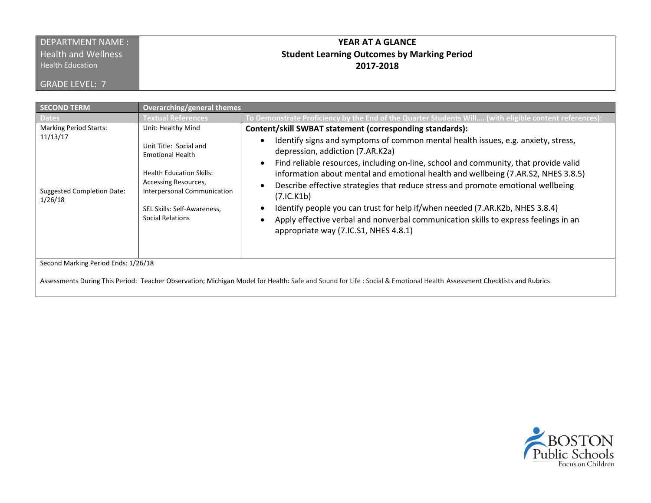### DEPARTMENT NAME : **Health and Wellness**

Health Education

GRADE LEVEL: 7

## **YEAR AT A GLANCE Student Learning Outcomes by Marking Period 2017-2018**

| <b>SECOND TERM</b>                                                                        | <b>Overarching/general themes</b>                                                                                                                                                                                    |                                                                                                                                                                                                                                                                                                                                                                                                                                                                                                                                                                                                                                                                                  |  |
|-------------------------------------------------------------------------------------------|----------------------------------------------------------------------------------------------------------------------------------------------------------------------------------------------------------------------|----------------------------------------------------------------------------------------------------------------------------------------------------------------------------------------------------------------------------------------------------------------------------------------------------------------------------------------------------------------------------------------------------------------------------------------------------------------------------------------------------------------------------------------------------------------------------------------------------------------------------------------------------------------------------------|--|
| Dates <sup>1</sup>                                                                        | <b>Fextual References</b>                                                                                                                                                                                            | To Demonstrate Proficiency by the End of the Quarter Students Will (with eligible content references)                                                                                                                                                                                                                                                                                                                                                                                                                                                                                                                                                                            |  |
| <b>Marking Period Starts:</b><br>11/13/17<br><b>Suggested Completion Date:</b><br>1/26/18 | Unit: Healthy Mind<br>Unit Title: Social and<br><b>Emotional Health</b><br><b>Health Education Skills:</b><br>Accessing Resources,<br>Interpersonal Communication<br>SEL Skills: Self-Awareness,<br>Social Relations | Content/skill SWBAT statement (corresponding standards):<br>Identify signs and symptoms of common mental health issues, e.g. anxiety, stress,<br>depression, addiction (7.AR.K2a)<br>Find reliable resources, including on-line, school and community, that provide valid<br>information about mental and emotional health and wellbeing (7.AR.S2, NHES 3.8.5)<br>Describe effective strategies that reduce stress and promote emotional wellbeing<br>(7.IC.K1b)<br>Identify people you can trust for help if/when needed (7.AR.K2b, NHES 3.8.4)<br>Apply effective verbal and nonverbal communication skills to express feelings in an<br>appropriate way (7.IC.S1, NHES 4.8.1) |  |
| Second Marking Period Ends: 1/26/18                                                       |                                                                                                                                                                                                                      |                                                                                                                                                                                                                                                                                                                                                                                                                                                                                                                                                                                                                                                                                  |  |
|                                                                                           |                                                                                                                                                                                                                      | Assessments During This Period: Teacher Observation; Michigan Model for Health: Safe and Sound for Life: Social & Emotional Health Assessment Checklists and Rubrics                                                                                                                                                                                                                                                                                                                                                                                                                                                                                                             |  |

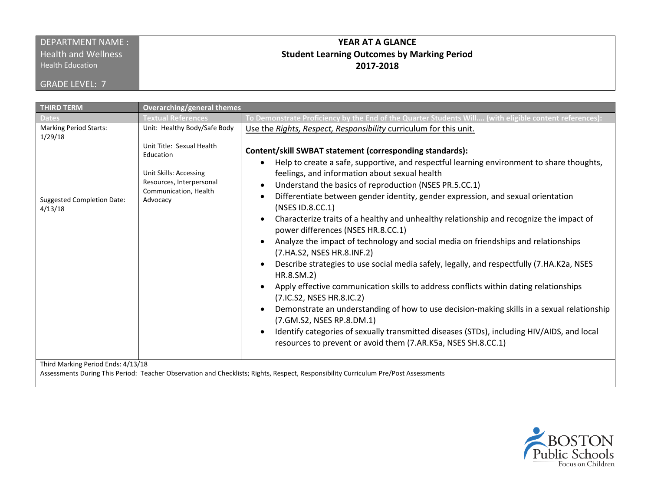### DEPARTMENT NAME : **Health and Wellness**

Health Education

GRADE LEVEL: 7

## **YEAR AT A GLANCE Student Learning Outcomes by Marking Period 2017-2018**

| <b>THIRD TERM</b>                                                                  | <b>Overarching/general themes</b>                                                                                                 |                                                                                                                                                                                                                                                                                                                                                                                                                                                                                                                                                                                                                                                                                                                                                                                                                                                                                                                                                                                                                                                                                                                                                                       |
|------------------------------------------------------------------------------------|-----------------------------------------------------------------------------------------------------------------------------------|-----------------------------------------------------------------------------------------------------------------------------------------------------------------------------------------------------------------------------------------------------------------------------------------------------------------------------------------------------------------------------------------------------------------------------------------------------------------------------------------------------------------------------------------------------------------------------------------------------------------------------------------------------------------------------------------------------------------------------------------------------------------------------------------------------------------------------------------------------------------------------------------------------------------------------------------------------------------------------------------------------------------------------------------------------------------------------------------------------------------------------------------------------------------------|
| <b>Dates</b>                                                                       | <b>Textual References</b>                                                                                                         | To Demonstrate Proficiency by the End of the Quarter Students Will (with eligible content references):                                                                                                                                                                                                                                                                                                                                                                                                                                                                                                                                                                                                                                                                                                                                                                                                                                                                                                                                                                                                                                                                |
| <b>Marking Period Starts:</b><br>1/29/18                                           | Unit: Healthy Body/Safe Body                                                                                                      | Use the Rights, Respect, Responsibility curriculum for this unit.                                                                                                                                                                                                                                                                                                                                                                                                                                                                                                                                                                                                                                                                                                                                                                                                                                                                                                                                                                                                                                                                                                     |
| <b>Suggested Completion Date:</b><br>4/13/18<br>Third Marking Period Ends: 4/13/18 | Unit Title: Sexual Health<br>Education<br>Unit Skills: Accessing<br>Resources, Interpersonal<br>Communication, Health<br>Advocacy | Content/skill SWBAT statement (corresponding standards):<br>Help to create a safe, supportive, and respectful learning environment to share thoughts,<br>$\bullet$<br>feelings, and information about sexual health<br>Understand the basics of reproduction (NSES PR.5.CC.1)<br>Differentiate between gender identity, gender expression, and sexual orientation<br>(NSES ID.8.CC.1)<br>Characterize traits of a healthy and unhealthy relationship and recognize the impact of<br>power differences (NSES HR.8.CC.1)<br>Analyze the impact of technology and social media on friendships and relationships<br>(7.HA.S2, NSES HR.8.INF.2)<br>Describe strategies to use social media safely, legally, and respectfully (7.HA.K2a, NSES<br>HR.8.SM.2)<br>Apply effective communication skills to address conflicts within dating relationships<br>(7.1C.S2, NSES HR.8.1C.2)<br>Demonstrate an understanding of how to use decision-making skills in a sexual relationship<br>(7.GM.S2, NSES RP.8.DM.1)<br>Identify categories of sexually transmitted diseases (STDs), including HIV/AIDS, and local<br>resources to prevent or avoid them (7.AR.K5a, NSES SH.8.CC.1) |

Assessments During This Period: Teacher Observation and Checklists; Rights, Respect, Responsibility Curriculum Pre/Post Assessments